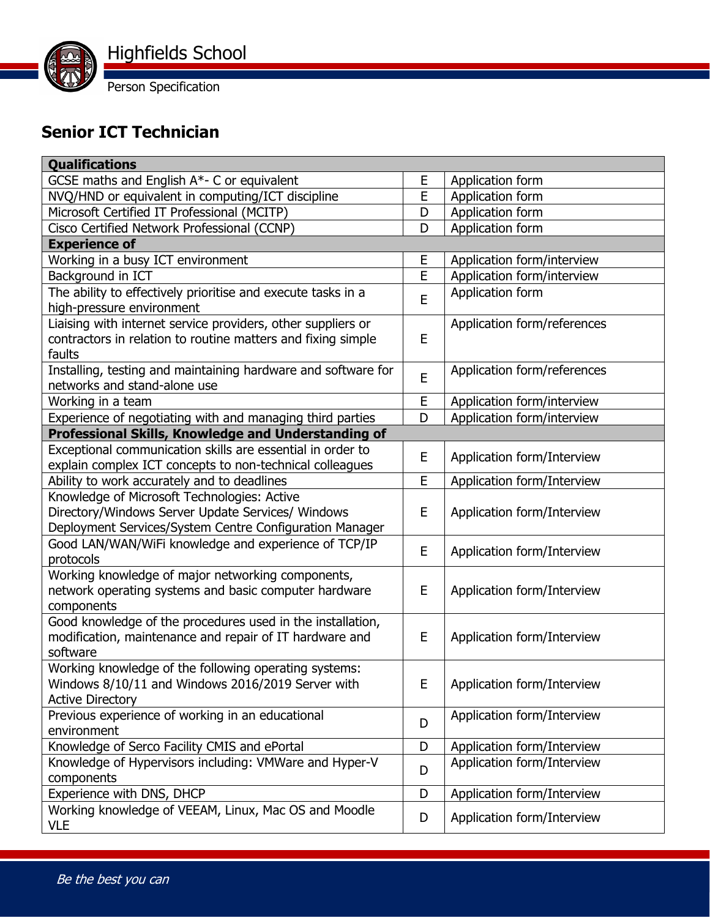

## **Senior ICT Technician**

| <b>Qualifications</b>                                         |   |                             |  |
|---------------------------------------------------------------|---|-----------------------------|--|
| GCSE maths and English A*- C or equivalent                    | E | Application form            |  |
| NVQ/HND or equivalent in computing/ICT discipline             | E | Application form            |  |
| Microsoft Certified IT Professional (MCITP)                   | D | Application form            |  |
| Cisco Certified Network Professional (CCNP)                   | D | Application form            |  |
| <b>Experience of</b>                                          |   |                             |  |
| Working in a busy ICT environment                             | E | Application form/interview  |  |
| Background in ICT                                             | E | Application form/interview  |  |
| The ability to effectively prioritise and execute tasks in a  | E | Application form            |  |
| high-pressure environment                                     |   |                             |  |
| Liaising with internet service providers, other suppliers or  |   | Application form/references |  |
| contractors in relation to routine matters and fixing simple  | E |                             |  |
| faults                                                        |   |                             |  |
| Installing, testing and maintaining hardware and software for | E | Application form/references |  |
| networks and stand-alone use                                  |   |                             |  |
| Working in a team                                             | E | Application form/interview  |  |
| Experience of negotiating with and managing third parties     | D | Application form/interview  |  |
| Professional Skills, Knowledge and Understanding of           |   |                             |  |
| Exceptional communication skills are essential in order to    | E | Application form/Interview  |  |
| explain complex ICT concepts to non-technical colleagues      |   |                             |  |
| Ability to work accurately and to deadlines                   | E | Application form/Interview  |  |
| Knowledge of Microsoft Technologies: Active                   |   | Application form/Interview  |  |
| Directory/Windows Server Update Services/ Windows             | E |                             |  |
| Deployment Services/System Centre Configuration Manager       |   |                             |  |
| Good LAN/WAN/WiFi knowledge and experience of TCP/IP          | E | Application form/Interview  |  |
| protocols                                                     |   |                             |  |
| Working knowledge of major networking components,             |   |                             |  |
| network operating systems and basic computer hardware         | E | Application form/Interview  |  |
| components                                                    |   |                             |  |
| Good knowledge of the procedures used in the installation,    | E | Application form/Interview  |  |
| modification, maintenance and repair of IT hardware and       |   |                             |  |
| software                                                      |   |                             |  |
| Working knowledge of the following operating systems:         |   |                             |  |
| Windows 8/10/11 and Windows 2016/2019 Server with             | E | Application form/Interview  |  |
| <b>Active Directory</b>                                       |   |                             |  |
| Previous experience of working in an educational              | D | Application form/Interview  |  |
| environment                                                   |   |                             |  |
| Knowledge of Serco Facility CMIS and ePortal                  | D | Application form/Interview  |  |
| Knowledge of Hypervisors including: VMWare and Hyper-V        | D | Application form/Interview  |  |
| components                                                    | D |                             |  |
| Experience with DNS, DHCP                                     |   | Application form/Interview  |  |
| Working knowledge of VEEAM, Linux, Mac OS and Moodle          | D | Application form/Interview  |  |
| <b>VLE</b>                                                    |   |                             |  |